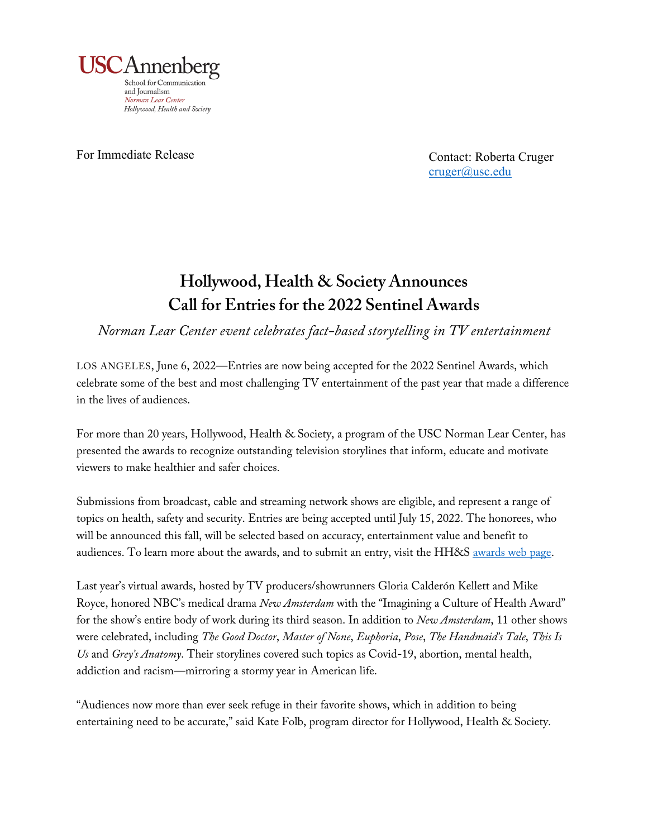

For Immediate Release

Contact: Roberta Cruger cruger@usc.edu

## **Hollywood, Health & Society Announces Call for Entries for the 2022 Sentinel Awards**

*Norman Lear Center event celebrates fact-based storytelling in TV entertainment*

LOS ANGELES, June 6, 2022—Entries are now being accepted for the 2022 Sentinel Awards, which celebrate some of the best and most challenging TV entertainment of the past year that made a difference in the lives of audiences.

For more than 20 years, Hollywood, Health & Society, a program of the USC Norman Lear Center, has presented the awards to recognize outstanding television storylines that inform, educate and motivate viewers to make healthier and safer choices.

Submissions from broadcast, cable and streaming network shows are eligible, and represent a range of topics on health, safety and security. Entries are being accepted until July 15, 2022. The honorees, who will be announced this fall, will be selected based on accuracy, entertainment value and benefit to audiences. To learn more about the awards, and to submit an entry, visit the HH&S [awards web page.](https://hhs.secure-platform.com/a)

Last year's virtual awards, hosted by TV producers/showrunners Gloria Calderón Kellett and Mike Royce, honored NBC's medical drama *New Amsterdam* with the "Imagining a Culture of Health Award" for the show's entire body of work during its third season. In addition to *New Amsterdam*, 11 other shows were celebrated, including *The Good Doctor*, *Master of None*, *Euphoria*, *Pose*, *The Handmaid's Tale*, *This Is Us* and *Grey's Anatomy*. Their storylines covered such topics as Covid-19, abortion, mental health, addiction and racism—mirroring a stormy year in American life.

"Audiences now more than ever seek refuge in their favorite shows, which in addition to being entertaining need to be accurate," said Kate Folb, program director for Hollywood, Health & Society.